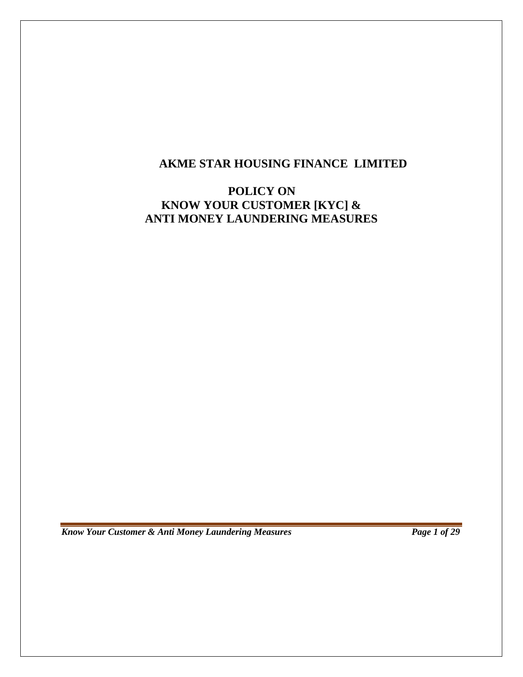# **AKME STAR HOUSING FINANCE LIMITED**

# **POLICY ON KNOW YOUR CUSTOMER [KYC] & ANTI MONEY LAUNDERING MEASURES**

*Know Your Customer & Anti Money Laundering Measures Page 1 of 29*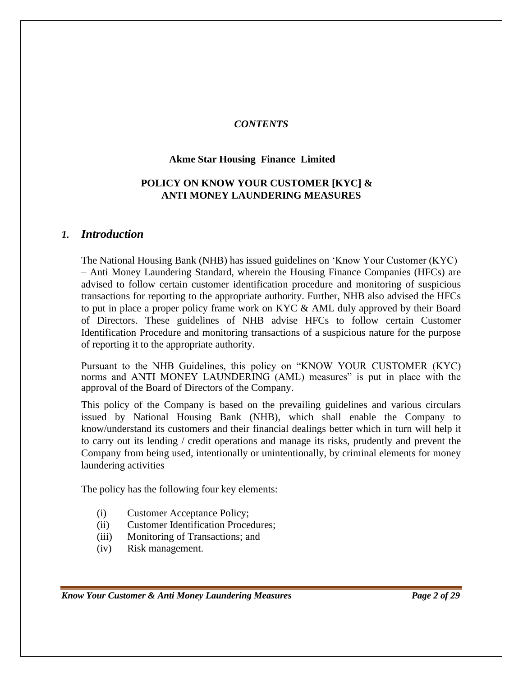## *CONTENTS*

#### **Akme Star Housing Finance Limited**

## **POLICY ON KNOW YOUR CUSTOMER [KYC] & ANTI MONEY LAUNDERING MEASURES**

#### *1. Introduction*

The National Housing Bank (NHB) has issued guidelines on 'Know Your Customer (KYC) – Anti Money Laundering Standard, wherein the Housing Finance Companies (HFCs) are advised to follow certain customer identification procedure and monitoring of suspicious transactions for reporting to the appropriate authority. Further, NHB also advised the HFCs to put in place a proper policy frame work on KYC & AML duly approved by their Board of Directors. These guidelines of NHB advise HFCs to follow certain Customer Identification Procedure and monitoring transactions of a suspicious nature for the purpose of reporting it to the appropriate authority.

Pursuant to the NHB Guidelines, this policy on "KNOW YOUR CUSTOMER (KYC) norms and ANTI MONEY LAUNDERING (AML) measures" is put in place with the approval of the Board of Directors of the Company.

This policy of the Company is based on the prevailing guidelines and various circulars issued by National Housing Bank (NHB), which shall enable the Company to know/understand its customers and their financial dealings better which in turn will help it to carry out its lending / credit operations and manage its risks, prudently and prevent the Company from being used, intentionally or unintentionally, by criminal elements for money laundering activities

The policy has the following four key elements:

- (i) Customer Acceptance Policy;
- (ii) Customer Identification Procedures;
- (iii) Monitoring of Transactions; and
- (iv) Risk management.

*Know Your Customer & Anti Money Laundering Measures Page 2 of 29*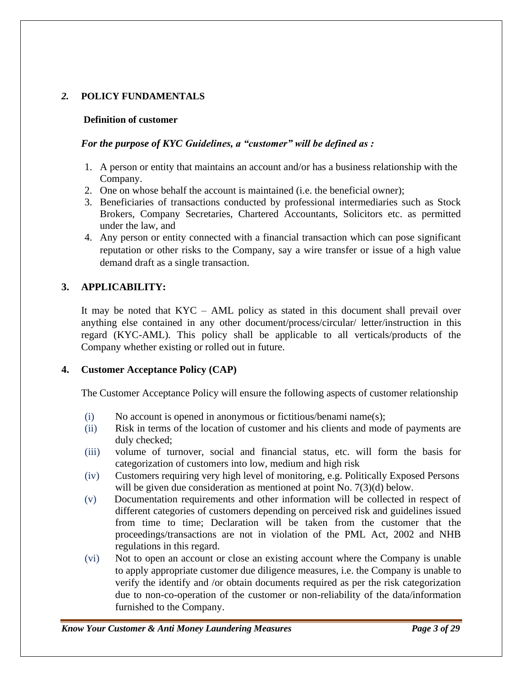## *2.* **POLICY FUNDAMENTALS**

#### **Definition of customer**

### *For the purpose of KYC Guidelines, a "customer" will be defined as :*

- 1. A person or entity that maintains an account and/or has a business relationship with the Company.
- 2. One on whose behalf the account is maintained (i.e. the beneficial owner);
- 3. Beneficiaries of transactions conducted by professional intermediaries such as Stock Brokers, Company Secretaries, Chartered Accountants, Solicitors etc. as permitted under the law, and
- 4. Any person or entity connected with a financial transaction which can pose significant reputation or other risks to the Company, say a wire transfer or issue of a high value demand draft as a single transaction.

## **3. APPLICABILITY:**

It may be noted that KYC – AML policy as stated in this document shall prevail over anything else contained in any other document/process/circular/ letter/instruction in this regard (KYC-AML). This policy shall be applicable to all verticals/products of the Company whether existing or rolled out in future.

#### **4. Customer Acceptance Policy (CAP)**

The Customer Acceptance Policy will ensure the following aspects of customer relationship

- (i) No account is opened in anonymous or fictitious/benami name(s);
- (ii) Risk in terms of the location of customer and his clients and mode of payments are duly checked;
- (iii) volume of turnover, social and financial status, etc. will form the basis for categorization of customers into low, medium and high risk
- (iv) Customers requiring very high level of monitoring, e.g. Politically Exposed Persons will be given due consideration as mentioned at point No. 7(3)(d) below.
- (v) Documentation requirements and other information will be collected in respect of different categories of customers depending on perceived risk and guidelines issued from time to time; Declaration will be taken from the customer that the proceedings/transactions are not in violation of the PML Act, 2002 and NHB regulations in this regard.
- (vi) Not to open an account or close an existing account where the Company is unable to apply appropriate customer due diligence measures, i.e. the Company is unable to verify the identify and /or obtain documents required as per the risk categorization due to non-co-operation of the customer or non-reliability of the data/information furnished to the Company.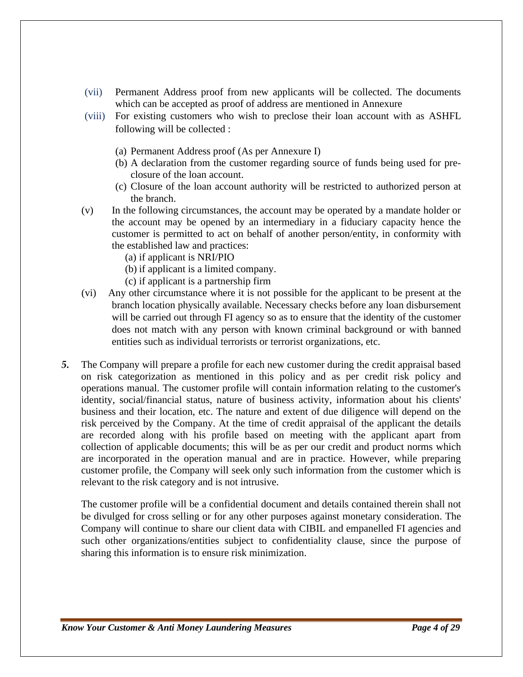- (vii) Permanent Address proof from new applicants will be collected. The documents which can be accepted as proof of address are mentioned in Annexure
- (viii) For existing customers who wish to preclose their loan account with as ASHFL following will be collected :
	- (a) Permanent Address proof (As per Annexure I)
	- (b) A declaration from the customer regarding source of funds being used for preclosure of the loan account.
	- (c) Closure of the loan account authority will be restricted to authorized person at the branch.
- (v) In the following circumstances, the account may be operated by a mandate holder or the account may be opened by an intermediary in a fiduciary capacity hence the customer is permitted to act on behalf of another person/entity, in conformity with the established law and practices:
	- (a) if applicant is NRI/PIO
	- (b) if applicant is a limited company.
	- (c) if applicant is a partnership firm
- (vi) Any other circumstance where it is not possible for the applicant to be present at the branch location physically available. Necessary checks before any loan disbursement will be carried out through FI agency so as to ensure that the identity of the customer does not match with any person with known criminal background or with banned entities such as individual terrorists or terrorist organizations, etc.
- *5.* The Company will prepare a profile for each new customer during the credit appraisal based on risk categorization as mentioned in this policy and as per credit risk policy and operations manual. The customer profile will contain information relating to the customer's identity, social/financial status, nature of business activity, information about his clients' business and their location, etc. The nature and extent of due diligence will depend on the risk perceived by the Company. At the time of credit appraisal of the applicant the details are recorded along with his profile based on meeting with the applicant apart from collection of applicable documents; this will be as per our credit and product norms which are incorporated in the operation manual and are in practice. However, while preparing customer profile, the Company will seek only such information from the customer which is relevant to the risk category and is not intrusive.

The customer profile will be a confidential document and details contained therein shall not be divulged for cross selling or for any other purposes against monetary consideration. The Company will continue to share our client data with CIBIL and empanelled FI agencies and such other organizations/entities subject to confidentiality clause, since the purpose of sharing this information is to ensure risk minimization.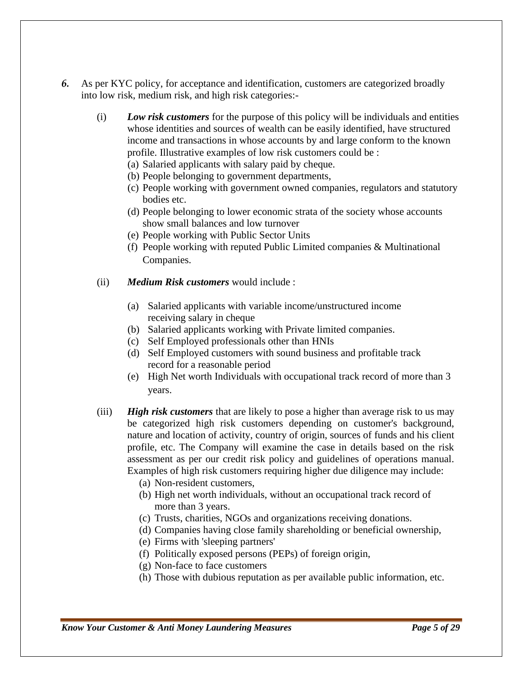- *6.* As per KYC policy, for acceptance and identification, customers are categorized broadly into low risk, medium risk, and high risk categories:-
	- (i) *Low risk customers* for the purpose of this policy will be individuals and entities whose identities and sources of wealth can be easily identified, have structured income and transactions in whose accounts by and large conform to the known profile. Illustrative examples of low risk customers could be :
		- (a) Salaried applicants with salary paid by cheque.
		- (b) People belonging to government departments,
		- (c) People working with government owned companies, regulators and statutory bodies etc.
		- (d) People belonging to lower economic strata of the society whose accounts show small balances and low turnover
		- (e) People working with Public Sector Units
		- (f) People working with reputed Public Limited companies & Multinational Companies.
	- (ii) *Medium Risk customers* would include :
		- (a) Salaried applicants with variable income/unstructured income receiving salary in cheque
		- (b) Salaried applicants working with Private limited companies.
		- (c) Self Employed professionals other than HNIs
		- (d) Self Employed customers with sound business and profitable track record for a reasonable period
		- (e) High Net worth Individuals with occupational track record of more than 3 years.
	- (iii) *High risk customers* that are likely to pose a higher than average risk to us may be categorized high risk customers depending on customer's background, nature and location of activity, country of origin, sources of funds and his client profile, etc. The Company will examine the case in details based on the risk assessment as per our credit risk policy and guidelines of operations manual. Examples of high risk customers requiring higher due diligence may include:
		- (a) Non-resident customers,
		- (b) High net worth individuals, without an occupational track record of more than 3 years.
		- (c) Trusts, charities, NGOs and organizations receiving donations.
		- (d) Companies having close family shareholding or beneficial ownership,
		- (e) Firms with 'sleeping partners'
		- (f) Politically exposed persons (PEPs) of foreign origin,
		- (g) Non-face to face customers
		- (h) Those with dubious reputation as per available public information, etc.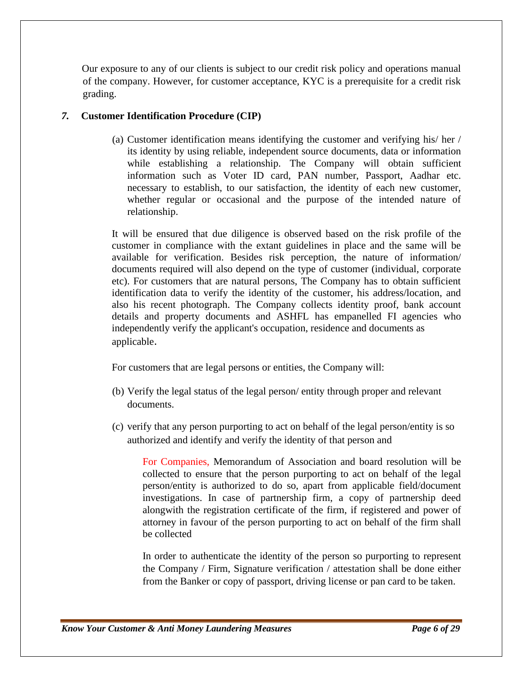Our exposure to any of our clients is subject to our credit risk policy and operations manual of the company. However, for customer acceptance, KYC is a prerequisite for a credit risk grading.

## *7.* **Customer Identification Procedure (CIP)**

(a) Customer identification means identifying the customer and verifying his/ her / its identity by using reliable, independent source documents, data or information while establishing a relationship. The Company will obtain sufficient information such as Voter ID card, PAN number, Passport, Aadhar etc. necessary to establish, to our satisfaction, the identity of each new customer, whether regular or occasional and the purpose of the intended nature of relationship.

It will be ensured that due diligence is observed based on the risk profile of the customer in compliance with the extant guidelines in place and the same will be available for verification. Besides risk perception, the nature of information/ documents required will also depend on the type of customer (individual, corporate etc). For customers that are natural persons, The Company has to obtain sufficient identification data to verify the identity of the customer, his address/location, and also his recent photograph. The Company collects identity proof, bank account details and property documents and ASHFL has empanelled FI agencies who independently verify the applicant's occupation, residence and documents as applicable.

For customers that are legal persons or entities, the Company will:

- (b) Verify the legal status of the legal person/ entity through proper and relevant documents.
- (c) verify that any person purporting to act on behalf of the legal person/entity is so authorized and identify and verify the identity of that person and

For Companies, Memorandum of Association and board resolution will be collected to ensure that the person purporting to act on behalf of the legal person/entity is authorized to do so, apart from applicable field/document investigations. In case of partnership firm, a copy of partnership deed alongwith the registration certificate of the firm, if registered and power of attorney in favour of the person purporting to act on behalf of the firm shall be collected

In order to authenticate the identity of the person so purporting to represent the Company / Firm, Signature verification / attestation shall be done either from the Banker or copy of passport, driving license or pan card to be taken.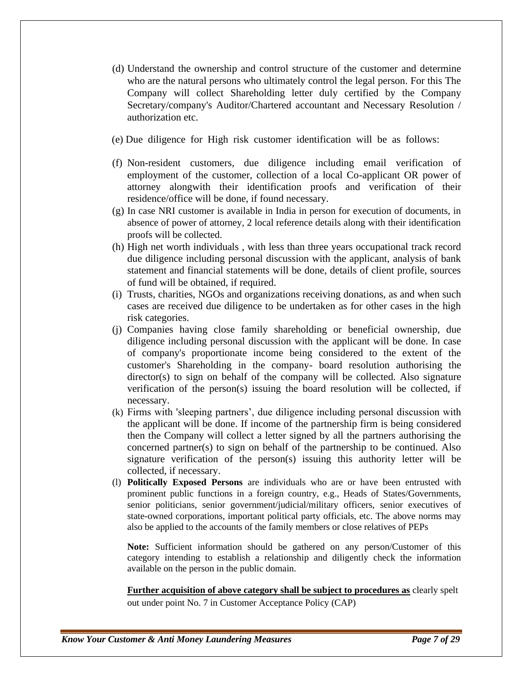- (d) Understand the ownership and control structure of the customer and determine who are the natural persons who ultimately control the legal person. For this The Company will collect Shareholding letter duly certified by the Company Secretary/company's Auditor/Chartered accountant and Necessary Resolution / authorization etc.
- (e) Due diligence for High risk customer identification will be as follows:
- (f) Non-resident customers, due diligence including email verification of employment of the customer, collection of a local Co-applicant OR power of attorney alongwith their identification proofs and verification of their residence/office will be done, if found necessary.
- (g) In case NRI customer is available in India in person for execution of documents, in absence of power of attorney, 2 local reference details along with their identification proofs will be collected.
- (h) High net worth individuals , with less than three years occupational track record due diligence including personal discussion with the applicant, analysis of bank statement and financial statements will be done, details of client profile, sources of fund will be obtained, if required.
- (i) Trusts, charities, NGOs and organizations receiving donations, as and when such cases are received due diligence to be undertaken as for other cases in the high risk categories.
- (j) Companies having close family shareholding or beneficial ownership, due diligence including personal discussion with the applicant will be done. In case of company's proportionate income being considered to the extent of the customer's Shareholding in the company- board resolution authorising the director(s) to sign on behalf of the company will be collected. Also signature verification of the person(s) issuing the board resolution will be collected, if necessary.
- (k) Firms with 'sleeping partners', due diligence including personal discussion with the applicant will be done. If income of the partnership firm is being considered then the Company will collect a letter signed by all the partners authorising the concerned partner(s) to sign on behalf of the partnership to be continued. Also signature verification of the person(s) issuing this authority letter will be collected, if necessary.
- (l) **Politically Exposed Persons** are individuals who are or have been entrusted with prominent public functions in a foreign country, e.g., Heads of States/Governments, senior politicians, senior government/judicial/military officers, senior executives of state-owned corporations, important political party officials, etc. The above norms may also be applied to the accounts of the family members or close relatives of PEPs

**Note:** Sufficient information should be gathered on any person/Customer of this category intending to establish a relationship and diligently check the information available on the person in the public domain.

**Further acquisition of above category shall be subject to procedures as** clearly spelt out under point No. 7 in Customer Acceptance Policy (CAP)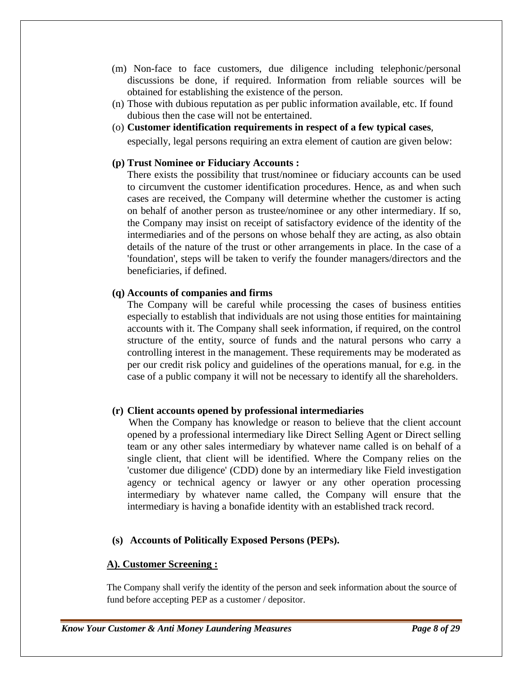- (m) Non-face to face customers, due diligence including telephonic/personal discussions be done, if required. Information from reliable sources will be obtained for establishing the existence of the person.
- (n) Those with dubious reputation as per public information available, etc. If found dubious then the case will not be entertained.
- (o) **Customer identification requirements in respect of a few typical cases**, especially, legal persons requiring an extra element of caution are given below:

#### **(p) Trust Nominee or Fiduciary Accounts :**

There exists the possibility that trust/nominee or fiduciary accounts can be used to circumvent the customer identification procedures. Hence, as and when such cases are received, the Company will determine whether the customer is acting on behalf of another person as trustee/nominee or any other intermediary. If so, the Company may insist on receipt of satisfactory evidence of the identity of the intermediaries and of the persons on whose behalf they are acting, as also obtain details of the nature of the trust or other arrangements in place. In the case of a 'foundation', steps will be taken to verify the founder managers/directors and the beneficiaries, if defined.

#### **(q) Accounts of companies and firms**

The Company will be careful while processing the cases of business entities especially to establish that individuals are not using those entities for maintaining accounts with it. The Company shall seek information, if required, on the control structure of the entity, source of funds and the natural persons who carry a controlling interest in the management. These requirements may be moderated as per our credit risk policy and guidelines of the operations manual, for e.g. in the case of a public company it will not be necessary to identify all the shareholders.

#### **(r) Client accounts opened by professional intermediaries**

When the Company has knowledge or reason to believe that the client account opened by a professional intermediary like Direct Selling Agent or Direct selling team or any other sales intermediary by whatever name called is on behalf of a single client, that client will be identified. Where the Company relies on the 'customer due diligence' (CDD) done by an intermediary like Field investigation agency or technical agency or lawyer or any other operation processing intermediary by whatever name called, the Company will ensure that the intermediary is having a bonafide identity with an established track record.

#### **(s) Accounts of Politically Exposed Persons (PEPs).**

#### **A). Customer Screening :**

The Company shall verify the identity of the person and seek information about the source of fund before accepting PEP as a customer / depositor.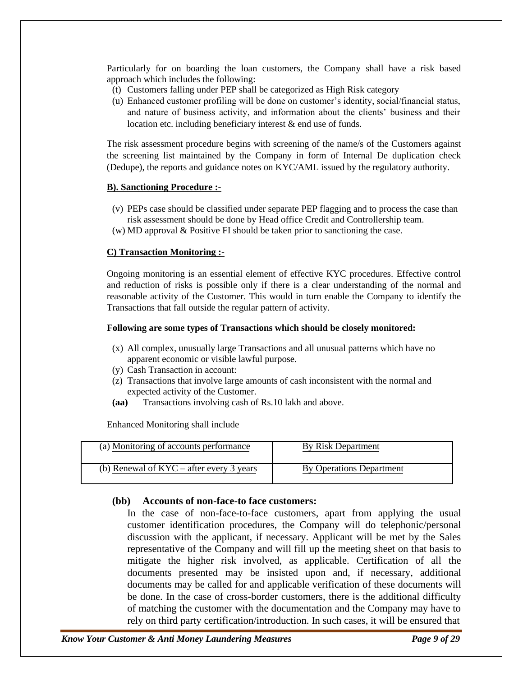Particularly for on boarding the loan customers, the Company shall have a risk based approach which includes the following:

- (t) Customers falling under PEP shall be categorized as High Risk category
- (u) Enhanced customer profiling will be done on customer's identity, social/financial status, and nature of business activity, and information about the clients' business and their location etc. including beneficiary interest & end use of funds.

The risk assessment procedure begins with screening of the name/s of the Customers against the screening list maintained by the Company in form of Internal De duplication check (Dedupe), the reports and guidance notes on KYC/AML issued by the regulatory authority.

#### **B). Sanctioning Procedure :-**

- (v) PEPs case should be classified under separate PEP flagging and to process the case than risk assessment should be done by Head office Credit and Controllership team.
- (w) MD approval & Positive FI should be taken prior to sanctioning the case.

#### **C) Transaction Monitoring :-**

Ongoing monitoring is an essential element of effective KYC procedures. Effective control and reduction of risks is possible only if there is a clear understanding of the normal and reasonable activity of the Customer. This would in turn enable the Company to identify the Transactions that fall outside the regular pattern of activity.

#### **Following are some types of Transactions which should be closely monitored:**

- (x) All complex, unusually large Transactions and all unusual patterns which have no apparent economic or visible lawful purpose.
- (y) Cash Transaction in account:
- (z) Transactions that involve large amounts of cash inconsistent with the normal and expected activity of the Customer.
- **(aa)** Transactions involving cash of Rs.10 lakh and above.

Enhanced Monitoring shall include

| (a) Monitoring of accounts performance     | By Risk Department       |
|--------------------------------------------|--------------------------|
| (b) Renewal of $KYC - after every 3 years$ | By Operations Department |

#### **(bb) Accounts of non-face-to face customers:**

In the case of non-face-to-face customers, apart from applying the usual customer identification procedures, the Company will do telephonic/personal discussion with the applicant, if necessary. Applicant will be met by the Sales representative of the Company and will fill up the meeting sheet on that basis to mitigate the higher risk involved, as applicable. Certification of all the documents presented may be insisted upon and, if necessary, additional documents may be called for and applicable verification of these documents will be done. In the case of cross-border customers, there is the additional difficulty of matching the customer with the documentation and the Company may have to rely on third party certification/introduction. In such cases, it will be ensured that

*Know Your Customer & Anti Money Laundering Measures Page 9 of 29*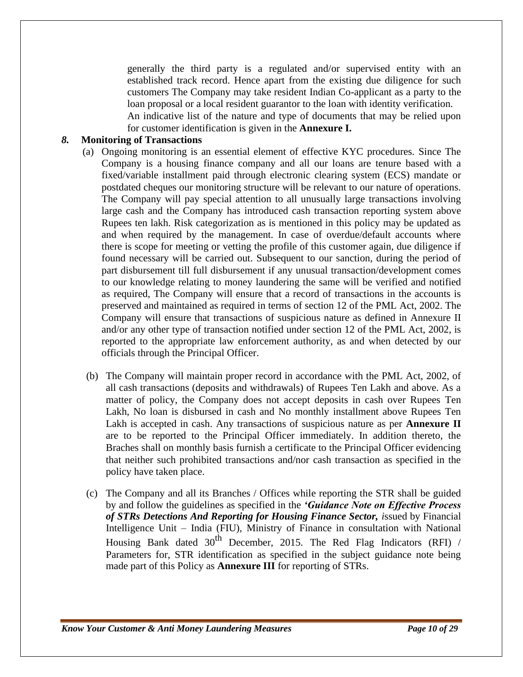generally the third party is a regulated and/or supervised entity with an established track record. Hence apart from the existing due diligence for such customers The Company may take resident Indian Co-applicant as a party to the loan proposal or a local resident guarantor to the loan with identity verification.

An indicative list of the nature and type of documents that may be relied upon for customer identification is given in the **Annexure I.**

#### *8.* **Monitoring of Transactions**

- (a) Ongoing monitoring is an essential element of effective KYC procedures. Since The Company is a housing finance company and all our loans are tenure based with a fixed/variable installment paid through electronic clearing system (ECS) mandate or postdated cheques our monitoring structure will be relevant to our nature of operations. The Company will pay special attention to all unusually large transactions involving large cash and the Company has introduced cash transaction reporting system above Rupees ten lakh. Risk categorization as is mentioned in this policy may be updated as and when required by the management. In case of overdue/default accounts where there is scope for meeting or vetting the profile of this customer again, due diligence if found necessary will be carried out. Subsequent to our sanction, during the period of part disbursement till full disbursement if any unusual transaction/development comes to our knowledge relating to money laundering the same will be verified and notified as required, The Company will ensure that a record of transactions in the accounts is preserved and maintained as required in terms of section 12 of the PML Act, 2002. The Company will ensure that transactions of suspicious nature as defined in Annexure II and/or any other type of transaction notified under section 12 of the PML Act, 2002, is reported to the appropriate law enforcement authority, as and when detected by our officials through the Principal Officer.
- (b) The Company will maintain proper record in accordance with the PML Act, 2002, of all cash transactions (deposits and withdrawals) of Rupees Ten Lakh and above. As a matter of policy, the Company does not accept deposits in cash over Rupees Ten Lakh, No loan is disbursed in cash and No monthly installment above Rupees Ten Lakh is accepted in cash. Any transactions of suspicious nature as per **Annexure II** are to be reported to the Principal Officer immediately. In addition thereto, the Braches shall on monthly basis furnish a certificate to the Principal Officer evidencing that neither such prohibited transactions and/nor cash transaction as specified in the policy have taken place.
- (c) The Company and all its Branches / Offices while reporting the STR shall be guided by and follow the guidelines as specified in the *'Guidance Note on Effective Process of STRs Detections And Reporting for Housing Finance Sector, i*ssued by Financial Intelligence Unit – India (FIU)*,* Ministry of Finance in consultation with National Housing Bank dated  $30<sup>th</sup>$  December, 2015. The Red Flag Indicators (RFI) / Parameters for, STR identification as specified in the subject guidance note being made part of this Policy as **Annexure III** for reporting of STRs.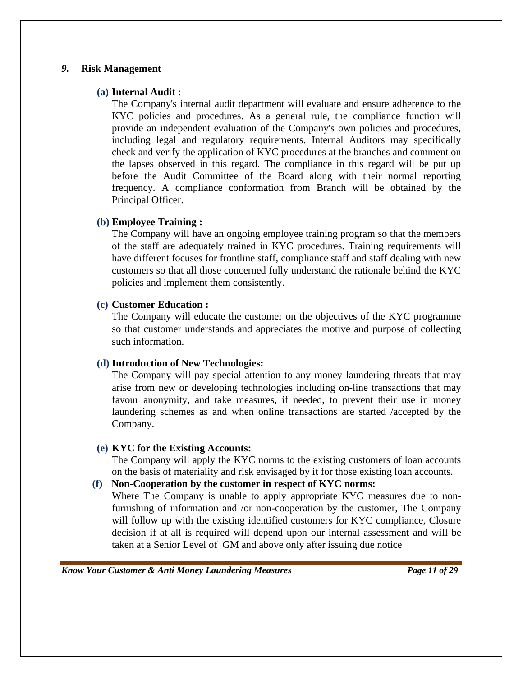#### *9.* **Risk Management**

#### **(a) Internal Audit** :

The Company's internal audit department will evaluate and ensure adherence to the KYC policies and procedures. As a general rule, the compliance function will provide an independent evaluation of the Company's own policies and procedures, including legal and regulatory requirements. Internal Auditors may specifically check and verify the application of KYC procedures at the branches and comment on the lapses observed in this regard. The compliance in this regard will be put up before the Audit Committee of the Board along with their normal reporting frequency. A compliance conformation from Branch will be obtained by the Principal Officer.

#### **(b) Employee Training :**

The Company will have an ongoing employee training program so that the members of the staff are adequately trained in KYC procedures. Training requirements will have different focuses for frontline staff, compliance staff and staff dealing with new customers so that all those concerned fully understand the rationale behind the KYC policies and implement them consistently.

#### **(c) Customer Education :**

The Company will educate the customer on the objectives of the KYC programme so that customer understands and appreciates the motive and purpose of collecting such information.

#### **(d) Introduction of New Technologies:**

The Company will pay special attention to any money laundering threats that may arise from new or developing technologies including on-line transactions that may favour anonymity, and take measures, if needed, to prevent their use in money laundering schemes as and when online transactions are started /accepted by the Company.

#### **(e) KYC for the Existing Accounts:**

The Company will apply the KYC norms to the existing customers of loan accounts on the basis of materiality and risk envisaged by it for those existing loan accounts.

#### **(f) Non-Cooperation by the customer in respect of KYC norms:**

Where The Company is unable to apply appropriate KYC measures due to nonfurnishing of information and /or non-cooperation by the customer, The Company will follow up with the existing identified customers for KYC compliance, Closure decision if at all is required will depend upon our internal assessment and will be taken at a Senior Level of GM and above only after issuing due notice

*Know Your Customer & Anti Money Laundering Measures Page 11 of 29*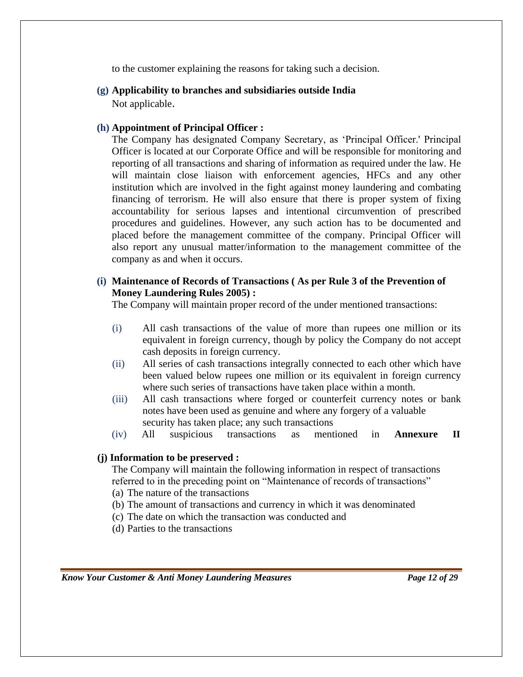to the customer explaining the reasons for taking such a decision.

**(g) Applicability to branches and subsidiaries outside India**

Not applicable.

#### **(h) Appointment of Principal Officer :**

The Company has designated Company Secretary, as 'Principal Officer.' Principal Officer is located at our Corporate Office and will be responsible for monitoring and reporting of all transactions and sharing of information as required under the law. He will maintain close liaison with enforcement agencies, HFCs and any other institution which are involved in the fight against money laundering and combating financing of terrorism. He will also ensure that there is proper system of fixing accountability for serious lapses and intentional circumvention of prescribed procedures and guidelines. However, any such action has to be documented and placed before the management committee of the company. Principal Officer will also report any unusual matter/information to the management committee of the company as and when it occurs.

#### **(i) Maintenance of Records of Transactions ( As per Rule 3 of the Prevention of Money Laundering Rules 2005) :**

The Company will maintain proper record of the under mentioned transactions:

- (i) All cash transactions of the value of more than rupees one million or its equivalent in foreign currency, though by policy the Company do not accept cash deposits in foreign currency.
- (ii) All series of cash transactions integrally connected to each other which have been valued below rupees one million or its equivalent in foreign currency where such series of transactions have taken place within a month.
- (iii) All cash transactions where forged or counterfeit currency notes or bank notes have been used as genuine and where any forgery of a valuable security has taken place; any such transactions
- (iv) All suspicious transactions as mentioned in **Annexure II**

#### **(j) Information to be preserved :**

The Company will maintain the following information in respect of transactions referred to in the preceding point on "Maintenance of records of transactions" (a) The nature of the transactions

- (b) The amount of transactions and currency in which it was denominated
- (c) The date on which the transaction was conducted and
- (d) Parties to the transactions

*Know Your Customer & Anti Money Laundering Measures Page 12 of 29*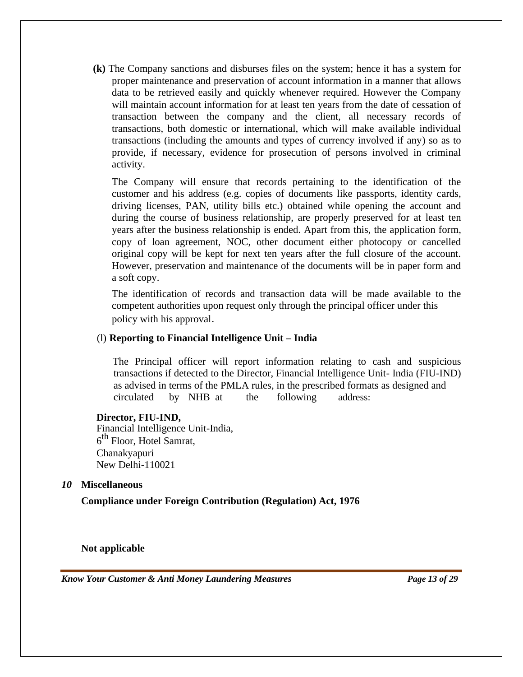**(k)** The Company sanctions and disburses files on the system; hence it has a system for proper maintenance and preservation of account information in a manner that allows data to be retrieved easily and quickly whenever required. However the Company will maintain account information for at least ten years from the date of cessation of transaction between the company and the client, all necessary records of transactions, both domestic or international, which will make available individual transactions (including the amounts and types of currency involved if any) so as to provide, if necessary, evidence for prosecution of persons involved in criminal activity.

The Company will ensure that records pertaining to the identification of the customer and his address (e.g. copies of documents like passports, identity cards, driving licenses, PAN, utility bills etc.) obtained while opening the account and during the course of business relationship, are properly preserved for at least ten years after the business relationship is ended. Apart from this, the application form, copy of loan agreement, NOC, other document either photocopy or cancelled original copy will be kept for next ten years after the full closure of the account. However, preservation and maintenance of the documents will be in paper form and a soft copy.

The identification of records and transaction data will be made available to the competent authorities upon request only through the principal officer under this policy with his approval.

#### (l) **Reporting to Financial Intelligence Unit – India**

The Principal officer will report information relating to cash and suspicious transactions if detected to the Director, Financial Intelligence Unit- India (FIU-IND) as advised in terms of the PMLA rules, in the prescribed formats as designed and circulated by NHB at the following address:

#### **Director, FIU-IND,**

Financial Intelligence Unit-India, 6<sup>th</sup> Floor, Hotel Samrat, Chanakyapuri New Delhi-110021

#### *10* **Miscellaneous**

**Compliance under Foreign Contribution (Regulation) Act, 1976**

**Not applicable**

*Know Your Customer & Anti Money Laundering Measures Page 13 of 29*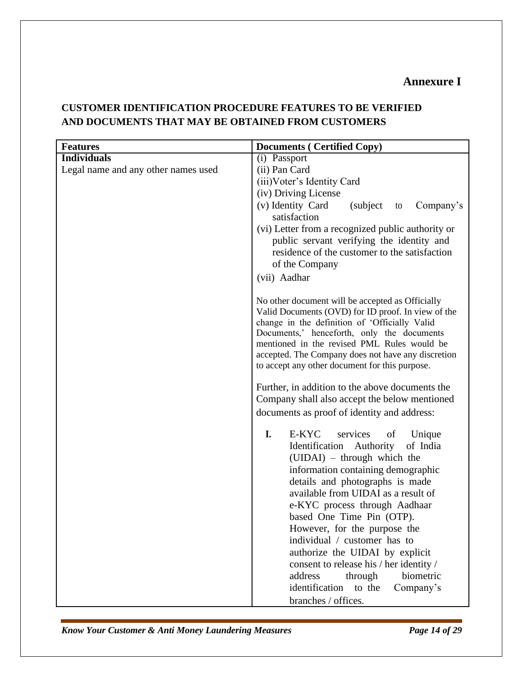# **Annexure I**

| <b>Documents (Certified Copy)</b>                                                                                                                                                                                                                                                                                                                                                                                                                                                                                                             |
|-----------------------------------------------------------------------------------------------------------------------------------------------------------------------------------------------------------------------------------------------------------------------------------------------------------------------------------------------------------------------------------------------------------------------------------------------------------------------------------------------------------------------------------------------|
| (i) Passport                                                                                                                                                                                                                                                                                                                                                                                                                                                                                                                                  |
| (ii) Pan Card                                                                                                                                                                                                                                                                                                                                                                                                                                                                                                                                 |
| (iii) Voter's Identity Card                                                                                                                                                                                                                                                                                                                                                                                                                                                                                                                   |
| (iv) Driving License                                                                                                                                                                                                                                                                                                                                                                                                                                                                                                                          |
| (v) Identity Card<br>(subject)<br>Company's<br>to                                                                                                                                                                                                                                                                                                                                                                                                                                                                                             |
| satisfaction                                                                                                                                                                                                                                                                                                                                                                                                                                                                                                                                  |
| (vi) Letter from a recognized public authority or                                                                                                                                                                                                                                                                                                                                                                                                                                                                                             |
| public servant verifying the identity and                                                                                                                                                                                                                                                                                                                                                                                                                                                                                                     |
| residence of the customer to the satisfaction                                                                                                                                                                                                                                                                                                                                                                                                                                                                                                 |
| of the Company                                                                                                                                                                                                                                                                                                                                                                                                                                                                                                                                |
| (vii) Aadhar                                                                                                                                                                                                                                                                                                                                                                                                                                                                                                                                  |
| No other document will be accepted as Officially<br>Valid Documents (OVD) for ID proof. In view of the<br>change in the definition of 'Officially Valid<br>Documents,' henceforth, only the documents<br>mentioned in the revised PML Rules would be<br>accepted. The Company does not have any discretion<br>to accept any other document for this purpose.                                                                                                                                                                                  |
| Further, in addition to the above documents the<br>Company shall also accept the below mentioned                                                                                                                                                                                                                                                                                                                                                                                                                                              |
| documents as proof of identity and address:                                                                                                                                                                                                                                                                                                                                                                                                                                                                                                   |
| I.<br>E-KYC<br>services<br>of<br>Unique<br>of India<br>Identification Authority<br>(UIDAI) – through which the<br>information containing demographic<br>details and photographs is made<br>available from UIDAI as a result of<br>e-KYC process through Aadhaar<br>based One Time Pin (OTP).<br>However, for the purpose the<br>individual / customer has to<br>authorize the UIDAI by explicit<br>consent to release his / her identity /<br>biometric<br>address<br>through<br>identification<br>to the<br>Company's<br>branches / offices. |
|                                                                                                                                                                                                                                                                                                                                                                                                                                                                                                                                               |

# **CUSTOMER IDENTIFICATION PROCEDURE FEATURES TO BE VERIFIED AND DOCUMENTS THAT MAY BE OBTAINED FROM CUSTOMERS**

*Know Your Customer & Anti Money Laundering Measures Page 14 of 29*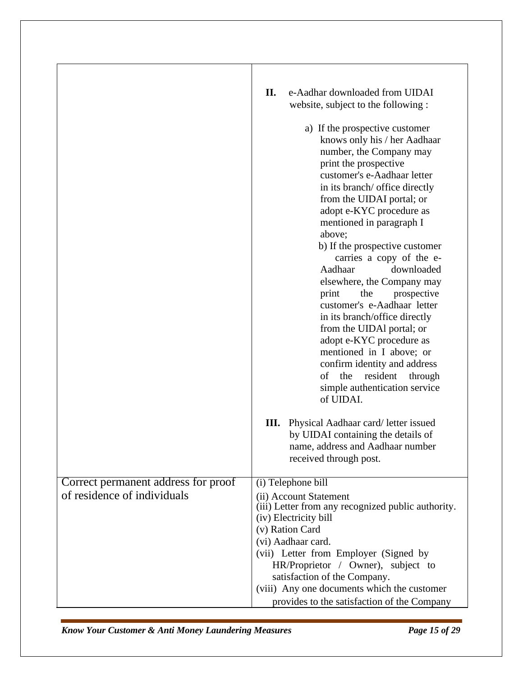|                                     | II.<br>e-Aadhar downloaded from UIDAI<br>website, subject to the following : |
|-------------------------------------|------------------------------------------------------------------------------|
|                                     | a) If the prospective customer<br>knows only his / her Aadhaar               |
|                                     | number, the Company may                                                      |
|                                     | print the prospective                                                        |
|                                     | customer's e-Aadhaar letter                                                  |
|                                     | in its branch/ office directly                                               |
|                                     | from the UIDAI portal; or                                                    |
|                                     | adopt e-KYC procedure as<br>mentioned in paragraph I                         |
|                                     | above;                                                                       |
|                                     | b) If the prospective customer                                               |
|                                     | carries a copy of the e-                                                     |
|                                     | Aadhaar<br>downloaded                                                        |
|                                     | elsewhere, the Company may                                                   |
|                                     | print<br>the<br>prospective<br>customer's e-Aadhaar letter                   |
|                                     | in its branch/office directly                                                |
|                                     | from the UIDAl portal; or                                                    |
|                                     | adopt e-KYC procedure as                                                     |
|                                     | mentioned in I above; or                                                     |
|                                     | confirm identity and address                                                 |
|                                     | of<br>the<br>resident<br>through                                             |
|                                     | simple authentication service<br>of UIDAI.                                   |
|                                     | Physical Aadhaar card/ letter issued<br>Ш.                                   |
|                                     | by UIDAI containing the details of                                           |
|                                     | name, address and Aadhaar number<br>received through post.                   |
|                                     |                                                                              |
| Correct permanent address for proof | (i) Telephone bill                                                           |
| of residence of individuals         | (ii) Account Statement                                                       |
|                                     | (iii) Letter from any recognized public authority.                           |
|                                     | (iv) Electricity bill<br>(v) Ration Card                                     |
|                                     | (vi) Aadhaar card.                                                           |
|                                     | (vii) Letter from Employer (Signed by                                        |
|                                     | HR/Proprietor / Owner), subject to                                           |
|                                     | satisfaction of the Company.                                                 |
|                                     | (viii) Any one documents which the customer                                  |
|                                     | provides to the satisfaction of the Company                                  |

*Know Your Customer & Anti Money Laundering Measures Page 15 of 29*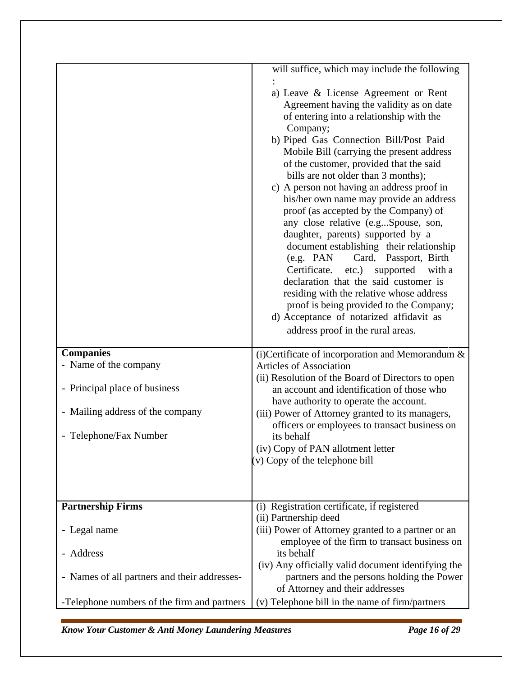| <b>Companies</b><br>- Name of the company<br>- Principal place of business<br>- Mailing address of the company<br>- Telephone/Fax Number | will suffice, which may include the following<br>a) Leave & License Agreement or Rent<br>Agreement having the validity as on date<br>of entering into a relationship with the<br>Company;<br>b) Piped Gas Connection Bill/Post Paid<br>Mobile Bill (carrying the present address<br>of the customer, provided that the said<br>bills are not older than 3 months);<br>c) A person not having an address proof in<br>his/her own name may provide an address<br>proof (as accepted by the Company) of<br>any close relative (e.gSpouse, son,<br>daughter, parents) supported by a<br>document establishing their relationship<br>Card, Passport, Birth<br>(e.g. PAN)<br>etc.)<br>Certificate.<br>supported<br>with a<br>declaration that the said customer is<br>residing with the relative whose address<br>proof is being provided to the Company;<br>d) Acceptance of notarized affidavit as<br>address proof in the rural areas.<br>(i) Certificate of incorporation and Memorandum $\&$<br><b>Articles of Association</b><br>(ii) Resolution of the Board of Directors to open<br>an account and identification of those who<br>have authority to operate the account.<br>(iii) Power of Attorney granted to its managers,<br>officers or employees to transact business on<br>its behalf<br>(iv) Copy of PAN allotment letter |
|------------------------------------------------------------------------------------------------------------------------------------------|------------------------------------------------------------------------------------------------------------------------------------------------------------------------------------------------------------------------------------------------------------------------------------------------------------------------------------------------------------------------------------------------------------------------------------------------------------------------------------------------------------------------------------------------------------------------------------------------------------------------------------------------------------------------------------------------------------------------------------------------------------------------------------------------------------------------------------------------------------------------------------------------------------------------------------------------------------------------------------------------------------------------------------------------------------------------------------------------------------------------------------------------------------------------------------------------------------------------------------------------------------------------------------------------------------------------------------|
|                                                                                                                                          | (v) Copy of the telephone bill                                                                                                                                                                                                                                                                                                                                                                                                                                                                                                                                                                                                                                                                                                                                                                                                                                                                                                                                                                                                                                                                                                                                                                                                                                                                                                     |
| <b>Partnership Firms</b>                                                                                                                 | (i) Registration certificate, if registered                                                                                                                                                                                                                                                                                                                                                                                                                                                                                                                                                                                                                                                                                                                                                                                                                                                                                                                                                                                                                                                                                                                                                                                                                                                                                        |
| - Legal name                                                                                                                             | (ii) Partnership deed<br>(iii) Power of Attorney granted to a partner or an<br>employee of the firm to transact business on                                                                                                                                                                                                                                                                                                                                                                                                                                                                                                                                                                                                                                                                                                                                                                                                                                                                                                                                                                                                                                                                                                                                                                                                        |
| - Address                                                                                                                                | its behalf<br>(iv) Any officially valid document identifying the                                                                                                                                                                                                                                                                                                                                                                                                                                                                                                                                                                                                                                                                                                                                                                                                                                                                                                                                                                                                                                                                                                                                                                                                                                                                   |
| - Names of all partners and their addresses-                                                                                             | partners and the persons holding the Power<br>of Attorney and their addresses                                                                                                                                                                                                                                                                                                                                                                                                                                                                                                                                                                                                                                                                                                                                                                                                                                                                                                                                                                                                                                                                                                                                                                                                                                                      |
| -Telephone numbers of the firm and partners                                                                                              | (v) Telephone bill in the name of firm/partners                                                                                                                                                                                                                                                                                                                                                                                                                                                                                                                                                                                                                                                                                                                                                                                                                                                                                                                                                                                                                                                                                                                                                                                                                                                                                    |

*Know Your Customer & Anti Money Laundering Measures Page 16 of 29*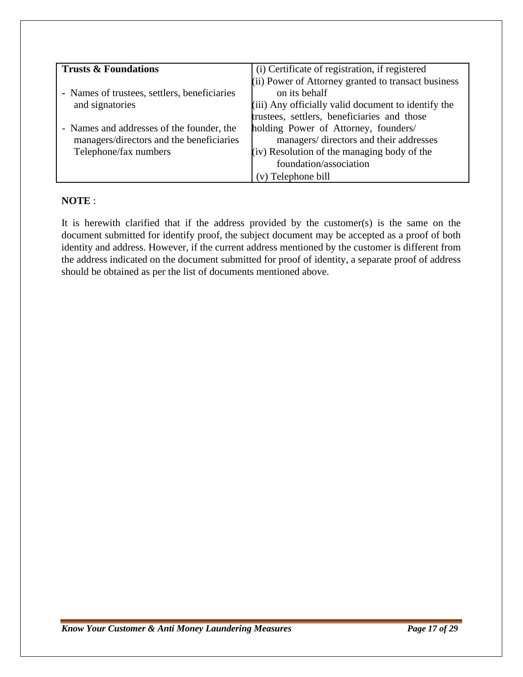| <b>Trusts &amp; Foundations</b>              | (i) Certificate of registration, if registered      |
|----------------------------------------------|-----------------------------------------------------|
|                                              | (ii) Power of Attorney granted to transact business |
| - Names of trustees, settlers, beneficiaries | on its behalf                                       |
| and signatories                              | (iii) Any officially valid document to identify the |
|                                              | trustees, settlers, beneficiaries and those         |
| - Names and addresses of the founder, the    | holding Power of Attorney, founders/                |
| managers/directors and the beneficiaries     | managers/ directors and their addresses             |
| Telephone/fax numbers                        | (iv) Resolution of the managing body of the         |
|                                              | foundation/association                              |
|                                              | (v) Telephone bill                                  |

## **NOTE** :

It is herewith clarified that if the address provided by the customer(s) is the same on the document submitted for identify proof, the subject document may be accepted as a proof of both identity and address. However, if the current address mentioned by the customer is different from the address indicated on the document submitted for proof of identity, a separate proof of address should be obtained as per the list of documents mentioned above.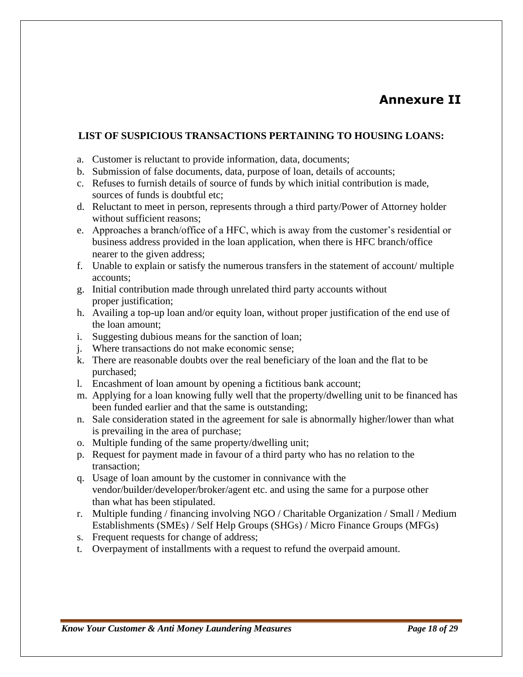# **Annexure II**

## **LIST OF SUSPICIOUS TRANSACTIONS PERTAINING TO HOUSING LOANS:**

- a. Customer is reluctant to provide information, data, documents;
- b. Submission of false documents, data, purpose of loan, details of accounts;
- c. Refuses to furnish details of source of funds by which initial contribution is made, sources of funds is doubtful etc;
- d. Reluctant to meet in person, represents through a third party/Power of Attorney holder without sufficient reasons;
- e. Approaches a branch/office of a HFC, which is away from the customer's residential or business address provided in the loan application, when there is HFC branch/office nearer to the given address;
- f. Unable to explain or satisfy the numerous transfers in the statement of account/ multiple accounts;
- g. Initial contribution made through unrelated third party accounts without proper justification;
- h. Availing a top-up loan and/or equity loan, without proper justification of the end use of the loan amount;
- i. Suggesting dubious means for the sanction of loan;
- j. Where transactions do not make economic sense;
- k. There are reasonable doubts over the real beneficiary of the loan and the flat to be purchased;
- l. Encashment of loan amount by opening a fictitious bank account;
- m. Applying for a loan knowing fully well that the property/dwelling unit to be financed has been funded earlier and that the same is outstanding;
- n. Sale consideration stated in the agreement for sale is abnormally higher/lower than what is prevailing in the area of purchase;
- o. Multiple funding of the same property/dwelling unit;
- p. Request for payment made in favour of a third party who has no relation to the transaction;
- q. Usage of loan amount by the customer in connivance with the vendor/builder/developer/broker/agent etc. and using the same for a purpose other than what has been stipulated.
- r. Multiple funding / financing involving NGO / Charitable Organization / Small / Medium Establishments (SMEs) / Self Help Groups (SHGs) / Micro Finance Groups (MFGs)
- s. Frequent requests for change of address;
- t. Overpayment of installments with a request to refund the overpaid amount.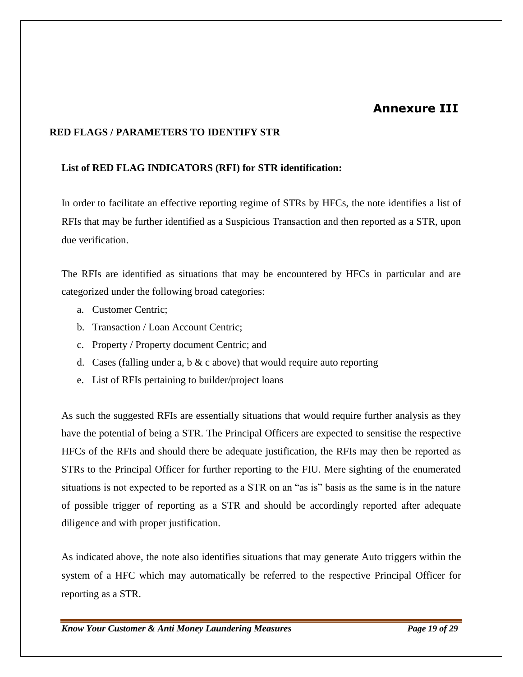# **Annexure III**

## **RED FLAGS / PARAMETERS TO IDENTIFY STR**

#### **List of RED FLAG INDICATORS (RFI) for STR identification:**

In order to facilitate an effective reporting regime of STRs by HFCs, the note identifies a list of RFIs that may be further identified as a Suspicious Transaction and then reported as a STR, upon due verification.

The RFIs are identified as situations that may be encountered by HFCs in particular and are categorized under the following broad categories:

- a. Customer Centric;
- b. Transaction / Loan Account Centric;
- c. Property / Property document Centric; and
- d. Cases (falling under a, b  $\&$  c above) that would require auto reporting
- e. List of RFIs pertaining to builder/project loans

As such the suggested RFIs are essentially situations that would require further analysis as they have the potential of being a STR. The Principal Officers are expected to sensitise the respective HFCs of the RFIs and should there be adequate justification, the RFIs may then be reported as STRs to the Principal Officer for further reporting to the FIU. Mere sighting of the enumerated situations is not expected to be reported as a STR on an "as is" basis as the same is in the nature of possible trigger of reporting as a STR and should be accordingly reported after adequate diligence and with proper justification.

As indicated above, the note also identifies situations that may generate Auto triggers within the system of a HFC which may automatically be referred to the respective Principal Officer for reporting as a STR.

*Know Your Customer & Anti Money Laundering Measures Page 19 of 29*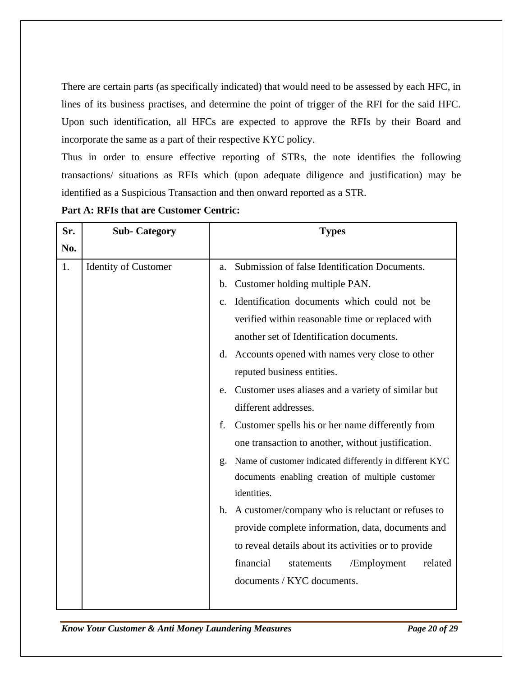There are certain parts (as specifically indicated) that would need to be assessed by each HFC, in lines of its business practises, and determine the point of trigger of the RFI for the said HFC. Upon such identification, all HFCs are expected to approve the RFIs by their Board and incorporate the same as a part of their respective KYC policy.

Thus in order to ensure effective reporting of STRs, the note identifies the following transactions/ situations as RFIs which (upon adequate diligence and justification) may be identified as a Suspicious Transaction and then onward reported as a STR.

| Sr. | <b>Sub-Category</b>         | <b>Types</b>                                                  |
|-----|-----------------------------|---------------------------------------------------------------|
| No. |                             |                                                               |
| 1.  | <b>Identity of Customer</b> | Submission of false Identification Documents.<br>a.           |
|     |                             | Customer holding multiple PAN.<br>b.                          |
|     |                             | Identification documents which could not be<br>$\mathbf{c}$ . |
|     |                             | verified within reasonable time or replaced with              |
|     |                             | another set of Identification documents.                      |
|     |                             | d. Accounts opened with names very close to other             |
|     |                             | reputed business entities.                                    |
|     |                             | Customer uses aliases and a variety of similar but<br>e.      |
|     |                             | different addresses.                                          |
|     |                             | Customer spells his or her name differently from<br>f.        |
|     |                             | one transaction to another, without justification.            |
|     |                             | Name of customer indicated differently in different KYC<br>g. |
|     |                             | documents enabling creation of multiple customer              |
|     |                             | identities.                                                   |
|     |                             | A customer/company who is reluctant or refuses to<br>h.       |
|     |                             | provide complete information, data, documents and             |
|     |                             | to reveal details about its activities or to provide          |
|     |                             | financial<br>related<br>statements<br>/Employment             |
|     |                             | documents / KYC documents.                                    |
|     |                             |                                                               |

**Part A: RFIs that are Customer Centric:**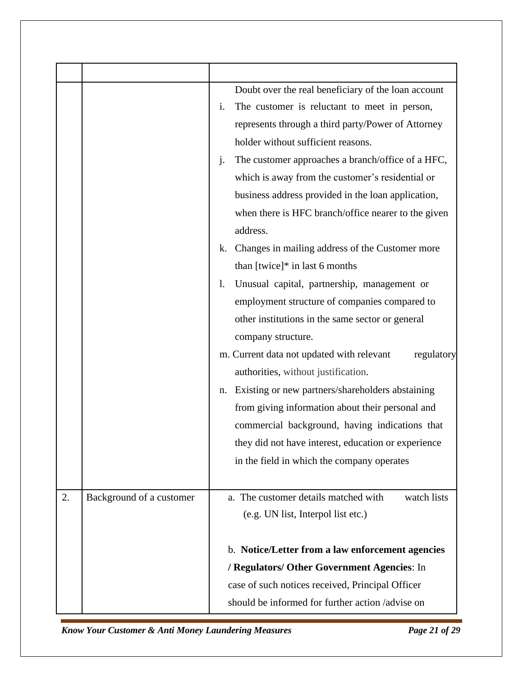| Doubt over the real beneficiary of the loan account<br>The customer is reluctant to meet in person,<br>i.<br>represents through a third party/Power of Attorney<br>holder without sufficient reasons.<br>The customer approaches a branch/office of a HFC,<br>$\dot{J}$ .<br>which is away from the customer's residential or<br>business address provided in the loan application,<br>when there is HFC branch/office nearer to the given<br>address.<br>Changes in mailing address of the Customer more<br>k. |
|-----------------------------------------------------------------------------------------------------------------------------------------------------------------------------------------------------------------------------------------------------------------------------------------------------------------------------------------------------------------------------------------------------------------------------------------------------------------------------------------------------------------|
| than $[twice]*$ in last 6 months<br>Unusual capital, partnership, management or<br>1.<br>employment structure of companies compared to<br>other institutions in the same sector or general<br>company structure.<br>m. Current data not updated with relevant<br>regulatory<br>authorities, without justification.<br>Existing or new partners/shareholders abstaining<br>n.<br>from giving information about their personal and<br>commercial background, having indications that                              |
| they did not have interest, education or experience<br>in the field in which the company operates                                                                                                                                                                                                                                                                                                                                                                                                               |
| a. The customer details matched with<br>watch lists<br>(e.g. UN list, Interpol list etc.)                                                                                                                                                                                                                                                                                                                                                                                                                       |
| b. Notice/Letter from a law enforcement agencies<br>/ Regulators/ Other Government Agencies: In<br>case of such notices received, Principal Officer<br>should be informed for further action /advise on                                                                                                                                                                                                                                                                                                         |
| Background of a customer                                                                                                                                                                                                                                                                                                                                                                                                                                                                                        |

*Know Your Customer & Anti Money Laundering Measures Page 21 of 29*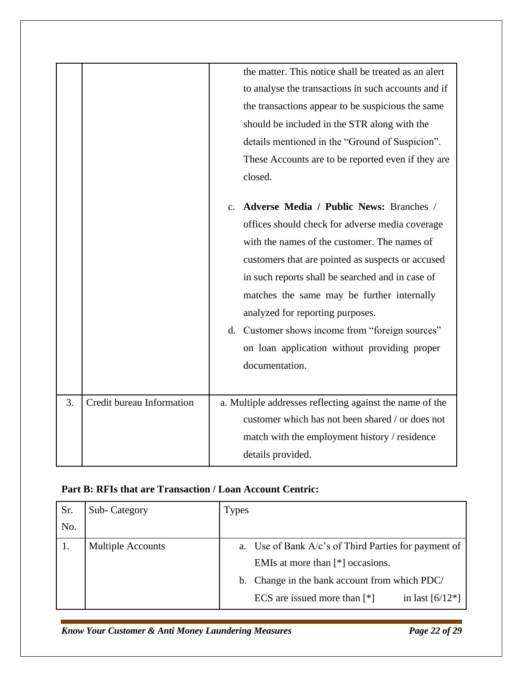|    |                           | the matter. This notice shall be treated as an alert<br>to analyse the transactions in such accounts and if<br>the transactions appear to be suspicious the same<br>should be included in the STR along with the<br>details mentioned in the "Ground of Suspicion".<br>These Accounts are to be reported even if they are<br>closed.<br>Adverse Media / Public News: Branches /<br>$\mathbf{c}$ .<br>offices should check for adverse media coverage<br>with the names of the customer. The names of<br>customers that are pointed as suspects or accused<br>in such reports shall be searched and in case of<br>matches the same may be further internally<br>analyzed for reporting purposes. |
|----|---------------------------|-------------------------------------------------------------------------------------------------------------------------------------------------------------------------------------------------------------------------------------------------------------------------------------------------------------------------------------------------------------------------------------------------------------------------------------------------------------------------------------------------------------------------------------------------------------------------------------------------------------------------------------------------------------------------------------------------|
|    |                           | d. Customer shows income from "foreign sources"<br>on loan application without providing proper<br>documentation.                                                                                                                                                                                                                                                                                                                                                                                                                                                                                                                                                                               |
| 3. | Credit bureau Information | a. Multiple addresses reflecting against the name of the<br>customer which has not been shared / or does not<br>match with the employment history / residence<br>details provided.                                                                                                                                                                                                                                                                                                                                                                                                                                                                                                              |

# **Part B: RFIs that are Transaction / Loan Account Centric:**

| Sr. | Sub-Category             | <b>Types</b> |                                                         |
|-----|--------------------------|--------------|---------------------------------------------------------|
| No. |                          |              |                                                         |
|     | <b>Multiple Accounts</b> |              | a. Use of Bank $A/c$ 's of Third Parties for payment of |
|     |                          |              | EMIs at more than $[*]$ occasions.                      |
|     |                          |              | b. Change in the bank account from which PDC/           |
|     |                          |              | ECS are issued more than $[*]$<br>in last $[6/12*]$     |

*Know Your Customer & Anti Money Laundering Measures Page 22 of 29*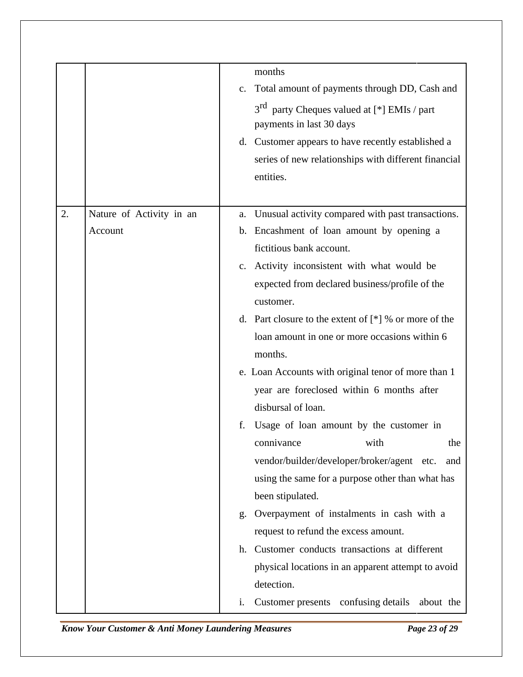|    |                          |                | months                                                                 |
|----|--------------------------|----------------|------------------------------------------------------------------------|
|    |                          | $\mathbf{C}$ . | Total amount of payments through DD, Cash and                          |
|    |                          |                | 3 <sup>rd</sup> party Cheques valued at [*] EMIs / part                |
|    |                          |                | payments in last 30 days                                               |
|    |                          |                | d. Customer appears to have recently established a                     |
|    |                          |                | series of new relationships with different financial                   |
|    |                          |                | entities.                                                              |
|    |                          |                |                                                                        |
| 2. | Nature of Activity in an | a.             | Unusual activity compared with past transactions.                      |
|    | Account                  | $\mathbf{b}$ . | Encashment of loan amount by opening a                                 |
|    |                          |                | fictitious bank account.                                               |
|    |                          |                | c. Activity inconsistent with what would be                            |
|    |                          |                | expected from declared business/profile of the                         |
|    |                          |                | customer.                                                              |
|    |                          |                | d. Part closure to the extent of $[$ <sup>*</sup> $]$ % or more of the |
|    |                          |                | loan amount in one or more occasions within 6                          |
|    |                          |                | months.                                                                |
|    |                          |                | e. Loan Accounts with original tenor of more than 1                    |
|    |                          |                | year are foreclosed within 6 months after                              |
|    |                          |                | disbursal of loan.                                                     |
|    |                          | f.             | Usage of loan amount by the customer in                                |
|    |                          |                | connivance<br>with<br>the                                              |
|    |                          |                | vendor/builder/developer/broker/agent<br>etc.<br>and                   |
|    |                          |                | using the same for a purpose other than what has                       |
|    |                          |                | been stipulated.                                                       |
|    |                          | g.             | Overpayment of instalments in cash with a                              |
|    |                          |                | request to refund the excess amount.                                   |
|    |                          | h.             | Customer conducts transactions at different                            |
|    |                          |                | physical locations in an apparent attempt to avoid                     |
|    |                          |                | detection.                                                             |
|    |                          | $\mathbf{i}$ . | <b>Customer presents</b><br>confusing details<br>about the             |

*Know Your Customer & Anti Money Laundering Measures Page 23 of 29*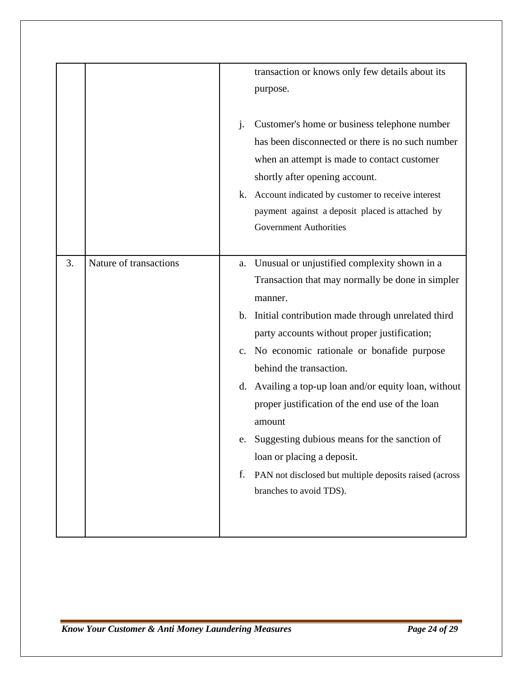|    |                        |                | transaction or knows only few details about its        |
|----|------------------------|----------------|--------------------------------------------------------|
|    |                        |                | purpose.                                               |
|    |                        |                |                                                        |
|    |                        | j.             | Customer's home or business telephone number           |
|    |                        |                | has been disconnected or there is no such number       |
|    |                        |                | when an attempt is made to contact customer            |
|    |                        |                | shortly after opening account.                         |
|    |                        | k.             | Account indicated by customer to receive interest      |
|    |                        |                | payment against a deposit placed is attached by        |
|    |                        |                | <b>Government Authorities</b>                          |
|    |                        |                |                                                        |
| 3. | Nature of transactions |                |                                                        |
|    |                        | a.             | Unusual or unjustified complexity shown in a           |
|    |                        |                | Transaction that may normally be done in simpler       |
|    |                        |                | manner.                                                |
|    |                        | $\mathbf{b}$ . | Initial contribution made through unrelated third      |
|    |                        |                | party accounts without proper justification;           |
|    |                        | $C_{\bullet}$  | No economic rationale or bonafide purpose              |
|    |                        |                | behind the transaction.                                |
|    |                        | d.             | Availing a top-up loan and/or equity loan, without     |
|    |                        |                | proper justification of the end use of the loan        |
|    |                        |                | amount                                                 |
|    |                        |                | Suggesting dubious means for the sanction of           |
|    |                        |                | loan or placing a deposit.                             |
|    |                        |                |                                                        |
|    |                        | f.             | PAN not disclosed but multiple deposits raised (across |
|    |                        |                | branches to avoid TDS).                                |
|    |                        |                |                                                        |
|    |                        |                |                                                        |
|    |                        |                |                                                        |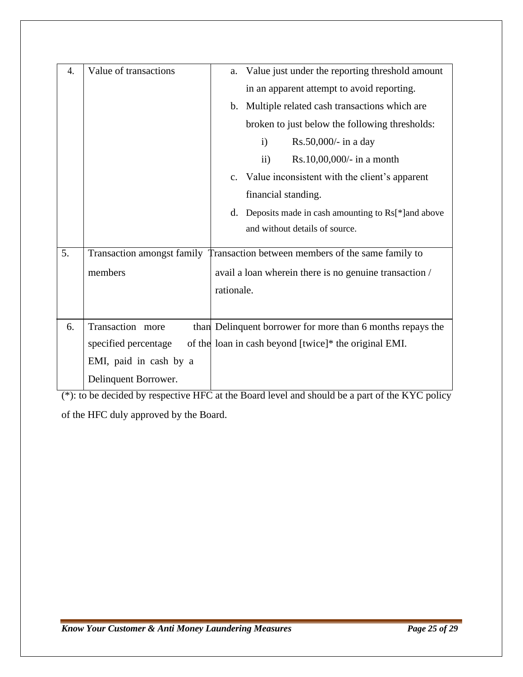| 4. | Value of transactions  | Value just under the reporting threshold amount<br>a.                        |
|----|------------------------|------------------------------------------------------------------------------|
|    |                        |                                                                              |
|    |                        | in an apparent attempt to avoid reporting.                                   |
|    |                        | b. Multiple related cash transactions which are                              |
|    |                        | broken to just below the following thresholds:                               |
|    |                        | $\mathbf{i}$<br>Rs.50,000/- in a day                                         |
|    |                        | $\overline{ii}$<br>Rs.10,00,000/- in a month                                 |
|    |                        | c. Value inconsistent with the client's apparent                             |
|    |                        | financial standing.                                                          |
|    |                        | d.<br>Deposits made in cash amounting to Rs[*] and above                     |
|    |                        | and without details of source.                                               |
|    |                        |                                                                              |
| 5. |                        | Transaction amongst family Transaction between members of the same family to |
|    | members                | avail a loan wherein there is no genuine transaction /                       |
|    |                        | rationale.                                                                   |
|    |                        |                                                                              |
| 6. | Transaction more       | than Delinquent borrower for more than 6 months repays the                   |
|    |                        |                                                                              |
|    | specified percentage   | of the loan in cash beyond [twice]* the original EMI.                        |
|    | EMI, paid in cash by a |                                                                              |
|    | Delinquent Borrower.   |                                                                              |

(\*): to be decided by respective HFC at the Board level and should be a part of the KYC policy of the HFC duly approved by the Board.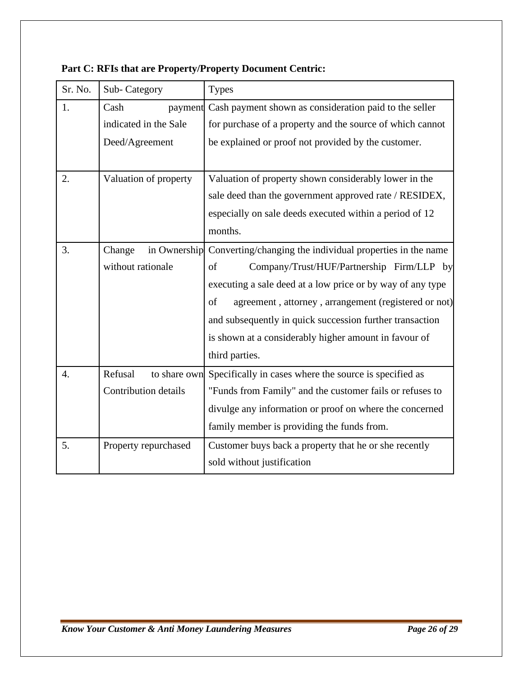| Sr. No.          | Sub-Category                                           | <b>Types</b>                                                                                                                                                                                                                                                                                                                                                                    |
|------------------|--------------------------------------------------------|---------------------------------------------------------------------------------------------------------------------------------------------------------------------------------------------------------------------------------------------------------------------------------------------------------------------------------------------------------------------------------|
| 1.               | Cash<br>payment<br>indicated in the Sale               | Cash payment shown as consideration paid to the seller<br>for purchase of a property and the source of which cannot<br>be explained or proof not provided by the customer.                                                                                                                                                                                                      |
|                  | Deed/Agreement                                         |                                                                                                                                                                                                                                                                                                                                                                                 |
| 2.               | Valuation of property                                  | Valuation of property shown considerably lower in the<br>sale deed than the government approved rate / RESIDEX,<br>especially on sale deeds executed within a period of 12<br>months.                                                                                                                                                                                           |
| 3.               | Change<br>in Ownership<br>without rationale            | Converting/changing the individual properties in the name<br>Company/Trust/HUF/Partnership Firm/LLP by<br>of<br>executing a sale deed at a low price or by way of any type<br>of<br>agreement, attorney, arrangement (registered or not)<br>and subsequently in quick succession further transaction<br>is shown at a considerably higher amount in favour of<br>third parties. |
| $\overline{4}$ . | Refusal<br>to share own<br><b>Contribution details</b> | Specifically in cases where the source is specified as<br>"Funds from Family" and the customer fails or refuses to<br>divulge any information or proof on where the concerned<br>family member is providing the funds from.                                                                                                                                                     |
| 5.               | Property repurchased                                   | Customer buys back a property that he or she recently<br>sold without justification                                                                                                                                                                                                                                                                                             |

## **Part C: RFIs that are Property/Property Document Centric:**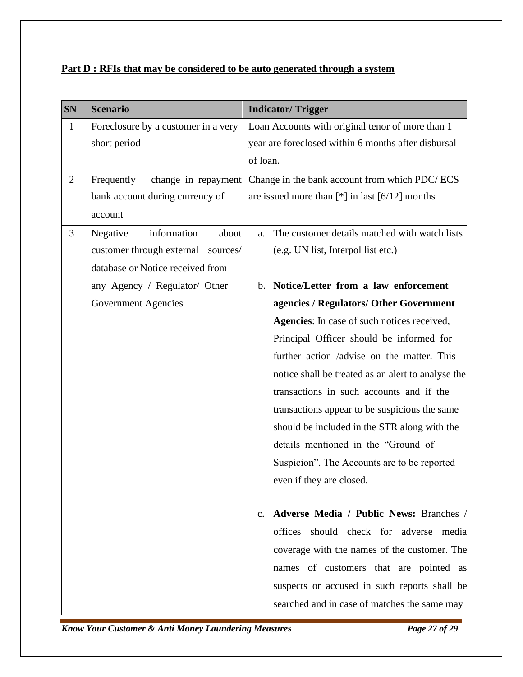| Part D : RFIs that may be considered to be auto generated through a system |
|----------------------------------------------------------------------------|
|----------------------------------------------------------------------------|

| <b>SN</b>      | <b>Scenario</b>                       | <b>Indicator/Trigger</b>                                |
|----------------|---------------------------------------|---------------------------------------------------------|
| $\mathbf{1}$   | Foreclosure by a customer in a very   | Loan Accounts with original tenor of more than 1        |
|                | short period                          | year are foreclosed within 6 months after disbursal     |
|                |                                       | of loan.                                                |
| $\overline{2}$ | Frequently<br>change in repayment     | Change in the bank account from which PDC/ECS           |
|                | bank account during currency of       | are issued more than $[*]$ in last $[6/12]$ months      |
|                | account                               |                                                         |
| 3              | information<br>Negative<br>about      | The customer details matched with watch lists<br>a.     |
|                | customer through external<br>sources/ | (e.g. UN list, Interpol list etc.)                      |
|                | database or Notice received from      |                                                         |
|                | any Agency / Regulator/ Other         | Notice/Letter from a law enforcement<br>$\mathbf{b}$ .  |
|                | <b>Government Agencies</b>            | agencies / Regulators/ Other Government                 |
|                |                                       | Agencies: In case of such notices received,             |
|                |                                       | Principal Officer should be informed for                |
|                |                                       | further action /advise on the matter. This              |
|                |                                       | notice shall be treated as an alert to analyse the      |
|                |                                       | transactions in such accounts and if the                |
|                |                                       | transactions appear to be suspicious the same           |
|                |                                       | should be included in the STR along with the            |
|                |                                       | details mentioned in the "Ground of                     |
|                |                                       | Suspicion". The Accounts are to be reported             |
|                |                                       | even if they are closed.                                |
|                |                                       |                                                         |
|                |                                       | Adverse Media / Public News: Branches<br>$\mathbf{c}$ . |
|                |                                       | offices should check for adverse<br>media               |
|                |                                       | coverage with the names of the customer. The            |
|                |                                       | names of customers that are pointed as                  |
|                |                                       | suspects or accused in such reports shall be            |
|                |                                       | searched and in case of matches the same may            |

*Know Your Customer & Anti Money Laundering Measures Page 27 of 29*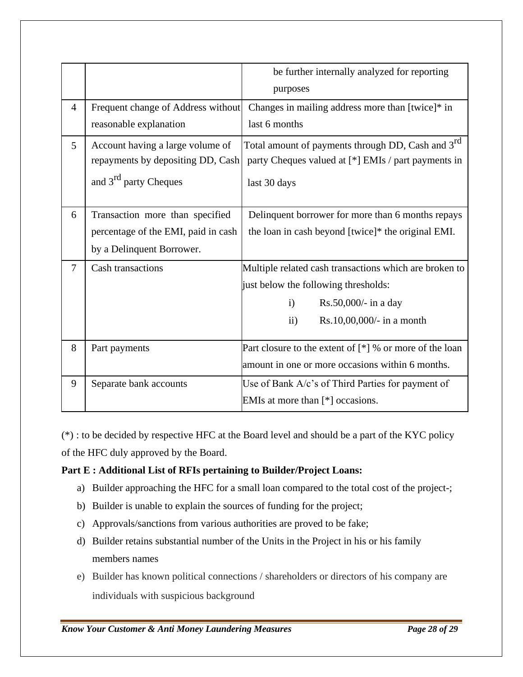|                |                                                                                                            | be further internally analyzed for reporting<br>purposes                                                                                                                         |
|----------------|------------------------------------------------------------------------------------------------------------|----------------------------------------------------------------------------------------------------------------------------------------------------------------------------------|
| $\overline{4}$ | Frequent change of Address without<br>reasonable explanation                                               | Changes in mailing address more than [twice]* in<br>last 6 months                                                                                                                |
| 5              | Account having a large volume of<br>repayments by depositing DD, Cash<br>and 3 <sup>rd</sup> party Cheques | Total amount of payments through DD, Cash and 3 <sup>rd</sup><br>party Cheques valued at [*] EMIs / part payments in<br>last 30 days                                             |
| 6              | Transaction more than specified<br>percentage of the EMI, paid in cash<br>by a Delinquent Borrower.        | Delinquent borrower for more than 6 months repays<br>the loan in cash beyond [twice]* the original EMI.                                                                          |
| $\overline{7}$ | <b>Cash transactions</b>                                                                                   | Multiple related cash transactions which are broken to<br>just below the following thresholds:<br>Rs.50,000/- in a day<br>$\mathbf{i}$<br>Rs.10,00,000/- in a month<br>$\rm ii)$ |
| 8              | Part payments                                                                                              | Part closure to the extent of $[$ <sup>*</sup> $]$ % or more of the loan<br>amount in one or more occasions within 6 months.                                                     |
| 9              | Separate bank accounts                                                                                     | Use of Bank A/c's of Third Parties for payment of<br>EMIs at more than $[$ <sup>*</sup> $]$ occasions.                                                                           |

(\*) : to be decided by respective HFC at the Board level and should be a part of the KYC policy of the HFC duly approved by the Board.

## **Part E : Additional List of RFIs pertaining to Builder/Project Loans:**

- a) Builder approaching the HFC for a small loan compared to the total cost of the project-;
- b) Builder is unable to explain the sources of funding for the project;
- c) Approvals/sanctions from various authorities are proved to be fake;
- d) Builder retains substantial number of the Units in the Project in his or his family members names
- e) Builder has known political connections / shareholders or directors of his company are individuals with suspicious background